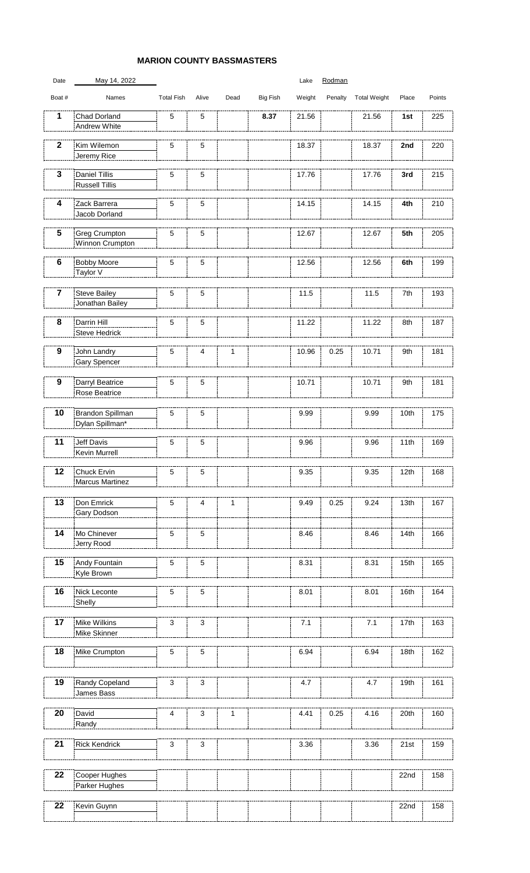## **MARION COUNTY BASSMASTERS**

| Date                    | May 14, 2022                                   |                   |                 |             |                 | Lake   | Rodman  |                     |                  |        |
|-------------------------|------------------------------------------------|-------------------|-----------------|-------------|-----------------|--------|---------|---------------------|------------------|--------|
| Boat #                  | Names                                          | <b>Total Fish</b> | Alive           | Dead        | <b>Big Fish</b> | Weight | Penalty | <b>Total Weight</b> | Place            | Points |
| 1                       | <b>Chad Dorland</b><br><b>Andrew White</b>     | $\overline{5}$    | 5               |             | 8.37            | 21.56  |         | 21.56               | 1st              | 225    |
| $\overline{2}$          | Kim Wilemon<br>Jeremy Rice                     | $\overline{5}$    | 5               |             |                 | 18.37  |         | 18.37               | 2nd              | 220    |
| $\overline{\mathbf{3}}$ | <b>Daniel Tillis</b><br><b>Russell Tillis</b>  | $\overline{5}$    | $\overline{5}$  |             |                 | 17.76  |         | 17.76               | 3rd              | 215    |
| 4                       | Zack Barrera<br>Jacob Dorland                  | $\overline{5}$    | $\overline{5}$  |             |                 | 14.15  |         | 14.15               | 4th              | 210    |
| $5\phantom{1}$          | <b>Greg Crumpton</b><br><b>Winnon Crumpton</b> | $\overline{5}$    | $\overline{5}$  |             |                 | 12.67  |         | 12.67               | 5th              | 205    |
| $6\phantom{1}6$         | <b>Bobby Moore</b><br>Taylor V                 | $\overline{5}$    | $\overline{5}$  |             |                 | 12.56  |         | 12.56               | 6th              | 199    |
| $\overline{\mathbf{7}}$ | <b>Steve Bailey</b><br>Jonathan Bailey         | $\overline{5}$    | $5\phantom{.0}$ |             |                 | 11.5   |         | 11.5                | 7th              | 193    |
| 8                       | Darrin Hill<br><b>Steve Hedrick</b>            | $\overline{5}$    | $\overline{5}$  |             |                 | 11.22  |         | 11.22               | 8th              | 187    |
| 9                       | John Landry<br><b>Gary Spencer</b>             | 5                 | $\overline{4}$  | $\mathbf 1$ |                 | 10.96  | 0.25    | 10.71               | 9th              | 181    |
| 9                       | Darryl Beatrice<br><b>Rose Beatrice</b>        | $\overline{5}$    | $\overline{5}$  |             |                 | 10.71  |         | 10.71               | 9th              | 181    |
| 10                      | Brandon Spillman<br>Dylan Spillman*            | 5                 | $\overline{5}$  |             |                 | 9.99   |         | 9.99                | 10th             | 175    |
| 11                      | <b>Jeff Davis</b><br><b>Kevin Murrell</b>      | 5                 | $5\phantom{.0}$ |             |                 | 9.96   |         | 9.96                | 11th             | 169    |
| 12                      | Chuck Ervin<br><b>Marcus Martinez</b>          | 5                 | $\overline{5}$  |             |                 | 9.35   |         | 9.35                | 12th             | 168    |
| 13                      | Don Emrick<br>Gary Dodson                      | 5                 | $\overline{4}$  | $\mathbf 1$ |                 | 9.49   | 0.25    | 9.24                | 13th             | 167    |
| 14                      | Mo Chinever<br>Jerry Rood                      | 5                 | $5\phantom{.0}$ |             |                 | 8.46   |         | 8.46                | 14th             | 166    |
| 15                      | Andy Fountain<br>Kyle Brown                    | 5                 | 5               |             |                 | 8.31   |         | 8.31                | 15th             | 165    |
| 16                      | Nick Leconte<br>Shelly                         | $5\phantom{.0}$   | $\overline{5}$  |             |                 | 8.01   |         | 8.01                | 16th             | 164    |
| 17                      | <b>Mike Wilkins</b><br>Mike Skinner            | 3                 | 3               |             |                 | 7.1    |         | 7.1                 | 17 <sub>th</sub> | 163    |
| 18                      | Mike Crumpton                                  | 5                 | 5               |             |                 | 6.94   |         | 6.94                | 18 <sub>th</sub> | 162    |
| 19                      | Randy Copeland<br>James Bass                   | 3                 | $\mathfrak{S}$  |             |                 | 4.7    |         | 4.7                 | 19th             | 161    |
| 20                      | David<br>Randy                                 | 4                 | $\mathfrak{S}$  | 1           |                 | 4.41   | 0.25    | 4.16                | 20th             | 160    |
| 21                      | <b>Rick Kendrick</b>                           | $\mathbf{3}$      | $\mathfrak{S}$  |             |                 | 3.36   |         | 3.36                | 21st             | 159    |
| 22                      | Cooper Hughes<br>Parker Hughes                 |                   |                 |             |                 |        |         |                     | 22 <sub>nd</sub> | 158    |
| 22                      | Kevin Guynn                                    |                   |                 |             |                 |        |         |                     | 22 <sub>nd</sub> | 158    |